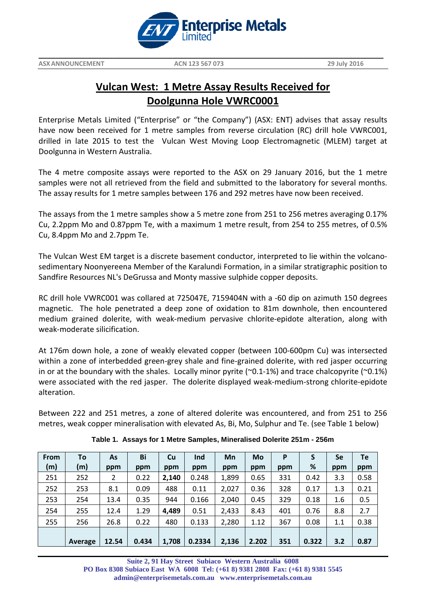

# **Vulcan West: 1 Metre Assay Results Received for Doolgunna Hole VWRC0001**

Enterprise Metals Limited ("Enterprise" or "the Company") (ASX: ENT) advises that assay results have now been received for 1 metre samples from reverse circulation (RC) drill hole VWRC001, drilled in late 2015 to test the Vulcan West Moving Loop Electromagnetic (MLEM) target at Doolgunna in Western Australia.

The 4 metre composite assays were reported to the ASX on 29 January 2016, but the 1 metre samples were not all retrieved from the field and submitted to the laboratory for several months. The assay results for 1 metre samples between 176 and 292 metres have now been received.

The assays from the 1 metre samples show a 5 metre zone from 251 to 256 metres averaging 0.17% Cu, 2.2ppm Mo and 0.87ppm Te, with a maximum 1 metre result, from 254 to 255 metres, of 0.5% Cu, 8.4ppm Mo and 2.7ppm Te.

The Vulcan West EM target is a discrete basement conductor, interpreted to lie within the volcanosedimentary Noonyereena Member of the Karalundi Formation, in a similar stratigraphic position to Sandfire Resources NL's DeGrussa and Monty massive sulphide copper deposits.

RC drill hole VWRC001 was collared at 725047E, 7159404N with a -60 dip on azimuth 150 degrees magnetic. The hole penetrated a deep zone of oxidation to 81m downhole, then encountered medium grained dolerite, with weak-medium pervasive chlorite-epidote alteration, along with weak-moderate silicification.

At 176m down hole, a zone of weakly elevated copper (between 100-600pm Cu) was intersected within a zone of interbedded green-grey shale and fine-grained dolerite, with red jasper occurring in or at the boundary with the shales. Locally minor pyrite ( $\sim$ 0.1-1%) and trace chalcopyrite ( $\sim$ 0.1%) were associated with the red jasper. The dolerite displayed weak-medium-strong chlorite-epidote alteration.

Between 222 and 251 metres, a zone of altered dolerite was encountered, and from 251 to 256 metres, weak copper mineralisation with elevated As, Bi, Mo, Sulphur and Te. (see Table 1 below)

| <b>From</b> | To      | As    | Bi    | <b>Cu</b> | Ind    | Mn    | Mo    | P   | S     | Se  | Te   |
|-------------|---------|-------|-------|-----------|--------|-------|-------|-----|-------|-----|------|
| (m)         | (m)     | ppm   | ppm   | ppm       | ppm    | ppm   | ppm   | ppm | %     | ppm | ppm  |
| 251         | 252     | 2     | 0.22  | 2.140     | 0.248  | 1,899 | 0.65  | 331 | 0.42  | 3.3 | 0.58 |
| 252         | 253     | 8.1   | 0.09  | 488       | 0.11   | 2,027 | 0.36  | 328 | 0.17  | 1.3 | 0.21 |
| 253         | 254     | 13.4  | 0.35  | 944       | 0.166  | 2,040 | 0.45  | 329 | 0.18  | 1.6 | 0.5  |
| 254         | 255     | 12.4  | 1.29  | 4,489     | 0.51   | 2,433 | 8.43  | 401 | 0.76  | 8.8 | 2.7  |
| 255         | 256     | 26.8  | 0.22  | 480       | 0.133  | 2,280 | 1.12  | 367 | 0.08  | 1.1 | 0.38 |
|             |         |       |       |           |        |       |       |     |       |     |      |
|             | Average | 12.54 | 0.434 | 1,708     | 0.2334 | 2,136 | 2.202 | 351 | 0.322 | 3.2 | 0.87 |

**Table 1. Assays for 1 Metre Samples, Mineralised Dolerite 251m - 256m**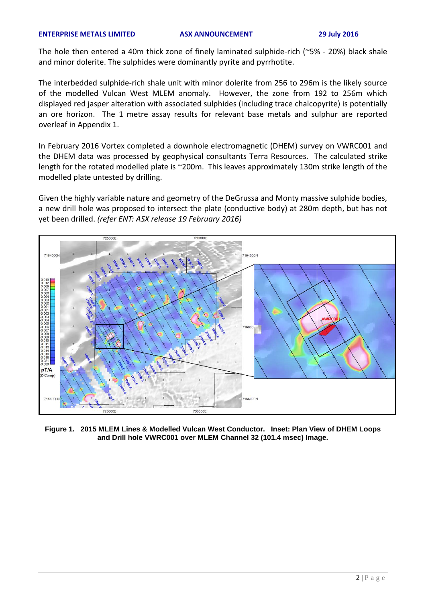### **ENTERPRISE METALS LIMITED ASX ANNOUNCEMENT 29 July 2016**

The hole then entered a 40m thick zone of finely laminated sulphide-rich (~5% - 20%) black shale and minor dolerite. The sulphides were dominantly pyrite and pyrrhotite.

The interbedded sulphide-rich shale unit with minor dolerite from 256 to 296m is the likely source of the modelled Vulcan West MLEM anomaly. However, the zone from 192 to 256m which displayed red jasper alteration with associated sulphides (including trace chalcopyrite) is potentially an ore horizon. The 1 metre assay results for relevant base metals and sulphur are reported overleaf in Appendix 1.

In February 2016 Vortex completed a downhole electromagnetic (DHEM) survey on VWRC001 and the DHEM data was processed by geophysical consultants Terra Resources. The calculated strike length for the rotated modelled plate is ~200m. This leaves approximately 130m strike length of the modelled plate untested by drilling.

Given the highly variable nature and geometry of the DeGrussa and Monty massive sulphide bodies, a new drill hole was proposed to intersect the plate (conductive body) at 280m depth, but has not yet been drilled. *(refer ENT: ASX release 19 February 2016)*



**Figure 1. 2015 MLEM Lines & Modelled Vulcan West Conductor. Inset: Plan View of DHEM Loops and Drill hole VWRC001 over MLEM Channel 32 (101.4 msec) Image.**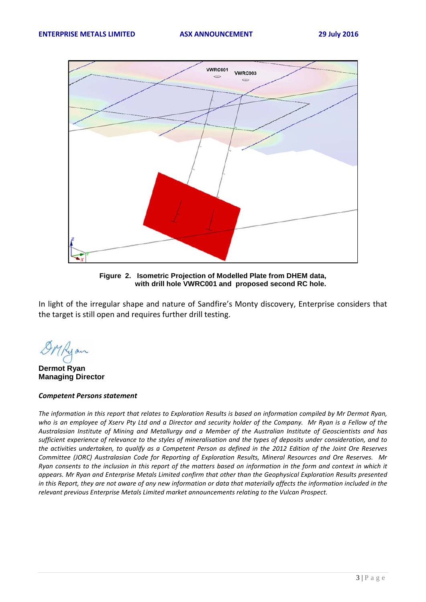

**Figure 2. Isometric Projection of Modelled Plate from DHEM data, with drill hole VWRC001 and proposed second RC hole.**

In light of the irregular shape and nature of Sandfire's Monty discovery, Enterprise considers that the target is still open and requires further drill testing.

**Dermot Ryan Managing Director**

### *Competent Persons statement*

The information in this report that relates to Exploration Results is based on information compiled by Mr Dermot Ryan, *who is an employee of Xserv Pty Ltd and a Director and security holder of the Company. Mr Ryan is a Fellow of the Australasian Institute of Mining and Metallurgy and a Member of the Australian Institute of Geoscientists and has sufficient experience of relevance to the styles of mineralisation and the types of deposits under consideration, and to the activities undertaken, to qualify as a Competent Person as defined in the 2012 Edition of the Joint Ore Reserves Committee (JORC) Australasian Code for Reporting of Exploration Results, Mineral Resources and Ore Reserves. Mr Ryan consents to the inclusion in this report of the matters based on information in the form and context in which it appears. Mr Ryan and Enterprise Metals Limited confirm that other than the Geophysical Exploration Results presented*  in this Report, they are not aware of any new information or data that materially affects the information included in the *relevant previous Enterprise Metals Limited market announcements relating to the Vulcan Prospect.*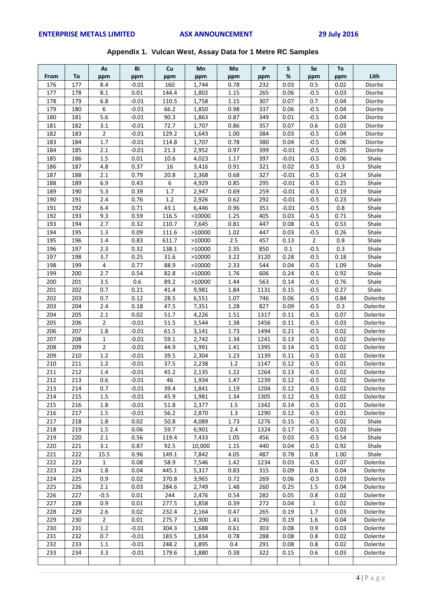|  |  |  | Appendix 1. Vulcan West, Assay Data for 1 Metre RC Samples |
|--|--|--|------------------------------------------------------------|
|--|--|--|------------------------------------------------------------|

|            |            | As             | Bi              | Cu             | Mn              | Mo           | P           | S            | Se               | Te           |                    |
|------------|------------|----------------|-----------------|----------------|-----------------|--------------|-------------|--------------|------------------|--------------|--------------------|
| From       | To         | ppm            | ppm             | ppm            | ppm             | ppm          | ppm         | %            | ppm              | ppm          | Lith               |
| 176        | 177        | 8.4            | $-0.01$         | 160            | 1,744           | 0.78         | 232         | 0.03         | 0.5              | 0.02         | Diorite            |
| 177<br>178 | 178<br>179 | 8.1<br>6.8     | 0.01<br>$-0.01$ | 144.4<br>110.5 | 1,802           | 1.15<br>1.15 | 265<br>307  | 0.06<br>0.07 | $-0.5$<br>0.7    | 0.03<br>0.04 | Diorite<br>Diorite |
| 179        | 180        | 6              | $-0.01$         | 66.2           | 1,758<br>1,850  | 0.98         | 337         | 0.06         | $-0.5$           | 0.04         | Diorite            |
| 180        | 181        | 5.6            | $-0.01$         | 90.3           | 1,863           | 0.87         | 349         | 0.01         | $-0.5$           | 0.04         | Diorite            |
| 181        | 182        | 3.1            | $-0.01$         | 72.7           | 1,707           | 0.86         | 357         | 0.07         | 0.6              | 0.03         | Diorite            |
| 182        | 183        | $\overline{2}$ | $-0.01$         | 129.2          | 1,643           | 1.00         | 384         | 0.03         | $-0.5$           | 0.04         | Diorite            |
| 183        | 184        | $1.7$          | $-0.01$         | 114.8          | 1,707           | 0.78         | 380         | 0.04         | $-0.5$           | 0.06         | Diorite            |
| 184        | 185        | 2.1            | $-0.01$         | 21.3           | 2,952           | 0.97         | 399         | $-0.01$      | $-0.5$           | 0.05         | Diorite            |
| 185        | 186        | 1.5            | 0.01            | 10.6           | 4,023           | 1.17         | 397         | $-0.01$      | $-0.5$           | 0.06         | Shale              |
| 186        | 187        | 4.8            | 0.37            | 16             | 3,416           | 0.91         | 321         | 0.02         | $-0.5$           | 0.3          | Shale              |
| 187        | 188        | 2.1            | 0.79            | 20.8           | 2,368           | 0.68         | 327         | $-0.01$      | $-0.5$           | 0.24         | Shale              |
| 188        | 189        | 6.9            | 0.43            | 6              | 4,929           | 0.85         | 295         | $-0.01$      | $-0.5$           | 0.25         | Shale              |
| 189        | 190        | 5.3            | 0.39            | 1.7            | 2,947           | 0.69         | 259         | $-0.01$      | $-0.5$           | 0.19         | Shale              |
| 190        | 191        | 2.4            | 0.76            | $1.2\,$        | 2,926           | 0.62         | 292         | $-0.01$      | $-0.5$           | 0.23         | Shale              |
| 191        | 192        | 6.4            | 0.71            | 43.1           | 6,446           | 0.96         | 351         | $-0.01$      | $-0.5$           | 0.8          | Shale              |
| 192        | 193        | 9.3            | 0.59            | 116.5          | >10000          | 1.25         | 405         | 0.03         | $-0.5$           | 0.71         | Shale              |
| 193        | 194        | 2.7            | 0.32            | 110.7          | 7,645           | 0.81         | 447         | 0.08         | $-0.5$           | 0.53         | Shale              |
| 194        | 195        | 1.3            | 0.09            | 111.6          | >10000          | 1.02         | 447         | 0.03         | $-0.5$           | 0.26         | Shale              |
| 195        | 196        | 1.4            | 0.83            | 611.7          | >10000          | 2.5          | 457         | 0.13         | $\mathbf 2$      | 0.8          | Shale              |
| 196        | 197        | 2.3            | 0.32            | 138.1          | >10000          | 2.35         | 850         | 0.1          | $-0.5$           | 0.3          | Shale              |
| 197        | 198        | 3.7            | 0.25            | 31.6           | >10000          | 3.22         | 3120        | 0.28         | $-0.5$           | 0.18         | Shale              |
| 198        | 199        | 4              | 0.77            | 88.9           | >10000          | 2.33         | 544         | 0.04         | $-0.5$           | 1.09         | Shale              |
| 199        | 200        | 2.7            | 0.54            | 82.8           | >10000          | 1.76         | 606         | 0.24         | $-0.5$           | 0.92         | Shale              |
| 200        | 201        | 3.5<br>0.7     | 0.6             | 89.2<br>41.4   | >10000          | 1.44         | 563         | 0.14         | $-0.5$           | 0.76         | Shale<br>Shale     |
| 201<br>202 | 202<br>203 | 0.7            | 0.21<br>0.12    | 28.5           | 9,981<br>6,551  | 1.84<br>1.07 | 1131<br>746 | 0.15<br>0.06 | $-0.5$<br>$-0.5$ | 0.27<br>0.84 | Dolerite           |
| 203        | 204        | 2.4            | 0.18            | 47.5           | 7,351           | 1.28         | 827         | 0.09         | $-0.5$           | 0.3          | Dolerite           |
| 204        | 205        | 2.1            | 0.02            | 51.7           | 4,226           | 1.51         | 1317        | 0.11         | $-0.5$           | 0.07         | Dolerite           |
| 205        | 206        | $\overline{2}$ | $-0.01$         | 51.5           | 3,544           | 1.38         | 1456        | 0.11         | $-0.5$           | 0.03         | Dolerite           |
| 206        | 207        | 1.8            | $-0.01$         | 61.5           | 3,141           | 1.73         | 1494        | 0.21         | $-0.5$           | 0.02         | Dolerite           |
| 207        | 208        | $\mathbf{1}$   | $-0.01$         | 59.1           | 2,742           | 1.34         | 1241        | 0.13         | $-0.5$           | 0.02         | Dolerite           |
| 208        | 209        | $\overline{2}$ | $-0.01$         | 44.9           | 1,991           | 1.41         | 1395        | 0.14         | $-0.5$           | 0.02         | Dolerite           |
| 209        | 210        | $1.2\,$        | $-0.01$         | 39.5           | 2,304           | 1.23         | 1139        | 0.11         | $-0.5$           | 0.02         | Dolerite           |
| 210        | 211        | 1.2            | $-0.01$         | 37.5           | 2,238           | 1.2          | 1147        | 0.12         | $-0.5$           | 0.01         | Dolerite           |
| 211        | 212        | 1.4            | $-0.01$         | 45.2           | 2,135           | 1.22         | 1264        | 0.13         | $-0.5$           | 0.02         | Dolerite           |
| 212        | 213        | 0.6            | $-0.01$         | 46             | 1,934           | 1.47         | 1239        | 0.12         | $-0.5$           | 0.02         | Dolerite           |
| 213        | 214        | 0.7            | $-0.01$         | 39.4           | 1,841           | 1.19         | 1204        | 0.12         | $-0.5$           | 0.02         | Dolerite           |
| 214        | 215        | 1.5            | $-0.01$         | 45.9           | 1,981           | 1.34         | 1305        | 0.12         | $-0.5$           | 0.02         | Dolerite           |
| 215        | 216        | 1.8            | $-0.01$         | 51.8           | 2,377           | 1.5          | 1342        | 0.14         | $-0.5$           | 0.01         | Dolerite           |
| 216        | 217        | $1.5\,$        | $-0.01$         | 56.2           | 2,870           | 1.3          | 1290        | 0.12         | $-0.5$           | 0.01         | Dolerite           |
| 217        | 218        | 1.8            | 0.02            | 50.8           | 4,089           | 1.73         | 1276        | 0.15         | $-0.5$           | 0.02         | Shale              |
| 218        | 219        | $1.5\,$        | 0.06            | 59.7           | 6,901           | 2.4          | 1324        | 0.17         | $-0.5$           | 0.03         | Shale              |
| 219        | 220        | 2.1            | 0.56            | 119.4          | 7,433           | 1.05         | 456<br>440  | 0.03         | $-0.5$           | 0.54         | Shale              |
| 220<br>221 | 221<br>222 | 3.1<br>15.5    | 0.87<br>0.96    | 92.5<br>149.1  | 10,000<br>7,842 | 1.15<br>4.05 | 487         | 0.04<br>0.78 | $-0.5$<br>0.8    | 0.92<br>1.00 | Shale<br>Shale     |
| 222        | 223        | 1              | 0.08            | 58.9           | 7,546           | 1.42         | 1234        | 0.03         | $-0.5$           | 0.07         | Dolerite           |
| 223        | 224        | 1.8            | 0.04            | 445.1          | 5,317           | 0.83         | 315         | 0.09         | 0.6              | 0.04         | Dolerite           |
| 224        | 225        | 0.9            | 0.02            | 370.8          | 3,965           | 0.72         | 269         | 0.06         | $-0.5$           | 0.03         | Dolerite           |
| 225        | 226        | 2.1            | 0.03            | 284.6          | 2,749           | 1.48         | 260         | 0.25         | 1.5              | 0.04         | Dolerite           |
| 226        | 227        | $-0.5$         | 0.01            | 244            | 2,476           | 0.54         | 282         | 0.05         | 0.8              | 0.02         | Dolerite           |
| 227        | 228        | 0.9            | 0.01            | 277.5          | 1,858           | 0.39         | 272         | 0.04         | $\mathbf{1}$     | 0.02         | Dolerite           |
| 228        | 229        | 2.6            | 0.02            | 232.4          | 2,164           | 0.47         | 265         | 0.19         | 1.7              | 0.03         | Dolerite           |
| 229        | 230        | $\overline{2}$ | 0.01            | 275.7          | 1,900           | 1.41         | 290         | 0.19         | 1.6              | 0.04         | Dolerite           |
| 230        | 231        | $1.2\,$        | $-0.01$         | 304.3          | 1,688           | 0.61         | 303         | 0.08         | 0.9              | 0.03         | Dolerite           |
| 231        | 232        | 0.7            | $-0.01$         | 183.5          | 1,834           | 0.78         | 288         | 0.08         | 0.8              | 0.02         | Dolerite           |
| 232        | 233        | $1.1$          | $-0.01$         | 248.2          | 1,895           | 0.4          | 291         | 0.08         | 0.8              | 0.02         | Dolerite           |
| 233        | 234        | 3.3            | $-0.01$         | 179.6          | 1,880           | 0.38         | 322         | 0.15         | 0.6              | 0.03         | Dolerite           |
|            |            |                |                 |                |                 |              |             |              |                  |              |                    |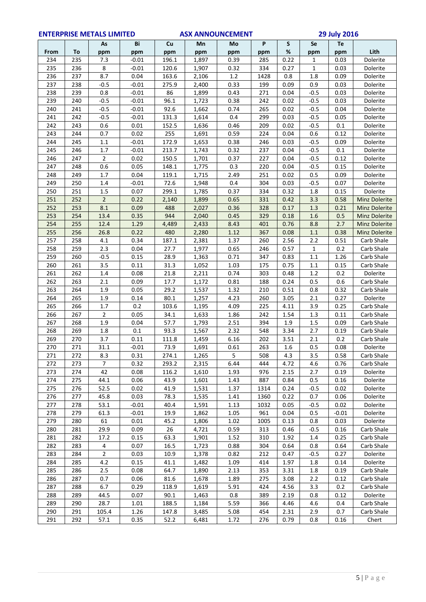|            | <b>ENTERPRISE METALS LIMITED</b> |                       |              | <b>ASX ANNOUNCEMENT</b> |                |              |            | <b>29 July 2016</b> |            |             |                                |
|------------|----------------------------------|-----------------------|--------------|-------------------------|----------------|--------------|------------|---------------------|------------|-------------|--------------------------------|
|            |                                  | As                    | Bi           | Cu                      | Mn             | Mo           | P          | S                   | Se         | Te          |                                |
| From       | To                               | ppm                   | ppm          | ppm                     | ppm            | ppm          | ppm        | %                   | ppm        | ppm         | Lith                           |
| 234        | 235                              | 7.3                   | $-0.01$      | 196.1                   | 1,897          | 0.39         | 285        | 0.22                | 1          | 0.03        | Dolerite                       |
| 235        | 236                              | 8                     | $-0.01$      | 120.6                   | 1,907          | 0.32         | 334        | 0.27                | 1          | 0.03        | Dolerite                       |
| 236        | 237                              | 8.7                   | 0.04         | 163.6                   | 2,106          | 1.2          | 1428       | 0.8                 | 1.8        | 0.09        | Dolerite                       |
| 237        | 238                              | $-0.5$                | $-0.01$      | 275.9                   | 2,400          | 0.33         | 199        | 0.09                | 0.9        | 0.03        | Dolerite                       |
| 238        | 239                              | 0.8                   | $-0.01$      | 86                      | 1,899          | 0.43         | 271        | 0.04                | -0.5       | 0.03        | Dolerite                       |
| 239        | 240                              | $-0.5$                | $-0.01$      | 96.1                    | 1,723          | 0.38         | 242        | 0.02                | $-0.5$     | 0.03        | Dolerite                       |
| 240        | 241                              | $-0.5$                | $-0.01$      | 92.6                    | 1,662          | 0.74         | 265        | 0.02                | $-0.5$     | 0.04        | Dolerite                       |
| 241        | 242                              | $-0.5$                | $-0.01$      | 131.3                   | 1,614          | 0.4          | 299        | 0.03                | $-0.5$     | 0.05        | Dolerite                       |
| 242        | 243                              | 0.6                   | 0.01         | 152.5                   | 1,636          | 0.46         | 209        | 0.02                | $-0.5$     | 0.1         | Dolerite                       |
| 243        | 244                              | 0.7                   | 0.02         | 255                     | 1,691          | 0.59         | 224        | 0.04                | 0.6        | 0.12        | Dolerite                       |
| 244        | 245                              | 1.1                   | $-0.01$      | 172.9                   | 1,653          | 0.38         | 246        | 0.03                | $-0.5$     | 0.09        | Dolerite                       |
| 245        | 246                              | 1.7                   | $-0.01$      | 213.7                   | 1,743          | 0.32         | 237        | 0.04                | $-0.5$     | 0.1         | Dolerite                       |
| 246        | 247                              | $\overline{2}$        | 0.02         | 150.5                   | 1,701          | 0.37         | 227        | 0.04                | $-0.5$     | 0.12        | Dolerite                       |
| 247        | 248                              | 0.6                   | 0.05         | 148.1                   | 1,775          | 0.3          | 220        | 0.04                | $-0.5$     | 0.15        | Dolerite                       |
| 248        | 249                              | $1.7$                 | 0.04         | 119.1                   | 1,715          | 2.49         | 251        | 0.02                | 0.5        | 0.09        | Dolerite                       |
| 249        | 250                              | 1.4                   | $-0.01$      | 72.6                    | 1,948          | 0.4          | 304        | 0.03                | $-0.5$     | 0.07        | Dolerite                       |
| 250        | 251                              | 1.5                   | 0.07         | 299.1                   | 1,785          | 0.37         | 334        | 0.32                | 1.8        | 0.15        | Dolerite                       |
| 251<br>252 | 252<br>253                       | $\overline{2}$<br>8.1 | 0.22         | 2,140                   | 1,899          | 0.65         | 331        | 0.42                | 3.3        | 0.58        | Minz Dolerite                  |
|            |                                  |                       | 0.09         | 488<br>944              | 2,027<br>2,040 | 0.36         | 328        | 0.17                | 1.3        | 0.21        | <b>Minz Dolerite</b>           |
| 253<br>254 | 254<br>255                       | 13.4<br>12.4          | 0.35<br>1.29 | 4,489                   |                | 0.45<br>8.43 | 329<br>401 | 0.18<br>0.76        | 1.6<br>8.8 | 0.5<br>2.7  | Minz Dolerite                  |
| 255        | 256                              | 26.8                  | 0.22         | 480                     | 2,433<br>2,280 | 1.12         | 367        | 0.08                | $1.1\,$    | 0.38        | Minz Dolerite<br>Minz Dolerite |
|            |                                  |                       | 0.34         |                         |                |              |            |                     |            | 0.51        |                                |
| 257<br>258 | 258<br>259                       | 4.1<br>2.3            | 0.04         | 187.1<br>27.7           | 2,381          | 1.37<br>0.65 | 260<br>246 | 2.56<br>0.57        | 2.2        | 0.2         | Carb Shale<br>Carb Shale       |
|            |                                  |                       |              |                         | 1,977          |              |            |                     | 1          |             |                                |
| 259        | 260                              | $-0.5$                | 0.15         | 28.9                    | 1,363          | 0.71         | 347        | 0.83                | $1.1\,$    | 1.26        | Carb Shale                     |
| 260<br>261 | 261<br>262                       | 3.5<br>1.4            | 0.11<br>0.08 | 31.3<br>21.8            | 1,052<br>2,211 | 1.03<br>0.74 | 175<br>303 | 0.75<br>0.48        | 1.1<br>1.2 | 0.15<br>0.2 | Carb Shale<br>Dolerite         |
| 262        | 263                              | 2.1                   | 0.09         | 17.7                    | 1,172          | 0.81         | 188        | 0.24                | 0.5        | 0.6         | Carb Shale                     |
| 263        | 264                              | 1.9                   | 0.05         | 29.2                    | 1,537          | 1.32         | 210        | 0.51                | 0.8        | 0.32        | Carb Shale                     |
| 264        | 265                              | 1.9                   | 0.14         | 80.1                    | 1,257          | 4.23         | 260        | 3.05                | 2.1        | 0.27        | Dolerite                       |
| 265        | 266                              | 1.7                   | 0.2          | 103.6                   | 1,195          | 4.09         | 225        | 4.11                | 3.9        | 0.25        | Carb Shale                     |
| 266        | 267                              | $\overline{2}$        | 0.05         | 34.1                    | 1,633          | 1.86         | 242        | 1.54                | 1.3        | 0.11        | Carb Shale                     |
| 267        | 268                              | 1.9                   | 0.04         | 57.7                    | 1,793          | 2.51         | 394        | 1.9                 | 1.5        | 0.09        | Carb Shale                     |
| 268        | 269                              | 1.8                   | 0.1          | 93.3                    | 1,567          | 2.32         | 548        | 3.34                | 2.7        | 0.19        | Carb Shale                     |
| 269        | 270                              | 3.7                   | 0.11         | 111.8                   | 1,459          | 6.16         | 202        | 3.51                | 2.1        | 0.2         | Carb Shale                     |
| 270        | 271                              | 31.1                  | $-0.01$      | 73.9                    | 1,691          | 0.61         | 263        | 1.6                 | 0.5        | 0.08        | Dolerite                       |
| 271        | 272                              | 8.3                   | 0.31         | 274.1                   | 1,265          | 5            | 508        | 4.3                 | 3.5        | 0.58        | Carb Shale                     |
| 272        | 273                              | 7                     | 0.32         | 293.2                   | 2,315          | 6.44         | 444        | 4.72                | 4.6        | 0.76        | Carb Shale                     |
| 273        | 274                              | 42                    | 0.08         | 116.2                   | 1,610          | 1.93         | 976        | 2.15                | 2.7        | 0.19        | Dolerite                       |
| 274        | 275                              | 44.1                  | 0.06         | 43.9                    | 1,601          | 1.43         | 887        | 0.84                | 0.5        | 0.16        | Dolerite                       |
| 275        | 276                              | 52.5                  | 0.02         | 41.9                    | 1,531          | 1.37         | 1314       | 0.24                | $-0.5$     | 0.02        | Dolerite                       |
| 276        | 277                              | 45.8                  | 0.03         | 78.3                    | 1,535          | 1.41         | 1360       | 0.22                | 0.7        | 0.06        | Dolerite                       |
| 277        | 278                              | 53.1                  | $-0.01$      | 40.4                    | 1,591          | 1.13         | 1032       | 0.05                | $-0.5$     | 0.02        | Dolerite                       |
| 278        | 279                              | 61.3                  | $-0.01$      | 19.9                    | 1,862          | 1.05         | 961        | 0.04                | 0.5        | $-0.01$     | Dolerite                       |
| 279        | 280                              | 61                    | 0.01         | 45.2                    | 1,806          | 1.02         | 1005       | 0.13                | 0.8        | 0.03        | Dolerite                       |
| 280        | 281                              | 29.9                  | 0.09         | 26                      | 4,721          | 0.59         | 313        | 0.46                | $-0.5$     | 0.16        | Carb Shale                     |
| 281        | 282                              | 17.2                  | 0.15         | 63.3                    | 1,901          | 1.52         | 310        | 1.92                | 1.4        | 0.25        | Carb Shale                     |
| 282        | 283                              | 4                     | 0.07         | 16.5                    | 1,723          | 0.88         | 304        | 0.64                | 0.8        | 0.64        | Carb Shale                     |
| 283        | 284                              | $\overline{2}$        | 0.03         | 10.9                    | 1,378          | 0.82         | 212        | 0.47                | $-0.5$     | 0.27        | Dolerite                       |
| 284        | 285                              | 4.2                   | 0.15         | 41.1                    | 1,482          | 1.09         | 414        | 1.97                | 1.8        | 0.14        | Dolerite                       |
| 285        | 286                              | 2.5                   | 0.08         | 64.7                    | 1,890          | 2.13         | 353        | 3.31                | 1.8        | 0.19        | Carb Shale                     |
| 286        | 287                              | 0.7                   | 0.06         | 81.6                    | 1,678          | 1.89         | 275        | 3.08                | 2.2        | 0.12        | Carb Shale                     |
| 287        | 288                              | 6.7                   | 0.29         | 118.9                   | 1,619          | 5.91         | 424        | 4.56                | 3.3        | 0.2         | Carb Shale                     |
| 288        | 289                              | 44.5                  | 0.07         | 90.1                    | 1,463          | 0.8          | 389        | 2.19                | 0.8        | 0.12        | Dolerite                       |
| 289        | 290                              | 28.7                  | 1.01         | 188.5                   | 1,184          | 5.59         | 366        | 4.46                | 4.6        | 0.4         | Carb Shale                     |
| 290        | 291                              | 105.4                 | 1.26         | 147.8                   | 3,485          | 5.08         | 454        | 2.31                | 2.9        | 0.7         | Carb Shale                     |
| 291        | 292                              | 57.1                  | 0.35         | 52.2                    | 6,481          | 1.72         | 276        | 0.79                | $0.8\,$    | 0.16        | Chert                          |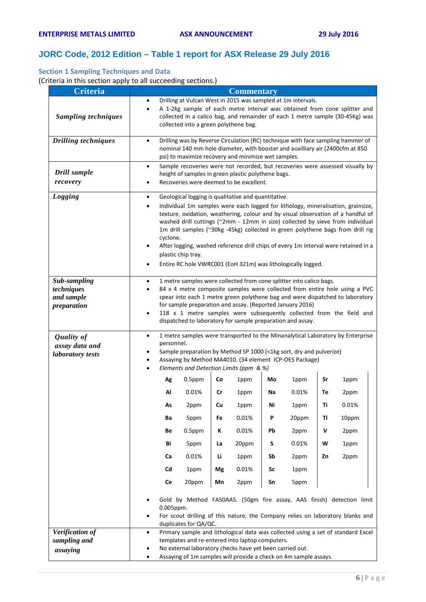# **JORC Code, 2012 Edition – Table 1 report for ASX Release 29 July 2016**

## **Section 1 Sampling Techniques and Data**

(Criteria in this section apply to all succeeding sections.)

| <b>Criteria</b>                                         | <b>Commentary</b>           |                                                                                                                                                                                                                                                                                                                                                                                                                                                                                                                                                                                           |           |    |                                                 |    |                                                                                                                                                                                                                  |    |       |  |
|---------------------------------------------------------|-----------------------------|-------------------------------------------------------------------------------------------------------------------------------------------------------------------------------------------------------------------------------------------------------------------------------------------------------------------------------------------------------------------------------------------------------------------------------------------------------------------------------------------------------------------------------------------------------------------------------------------|-----------|----|-------------------------------------------------|----|------------------------------------------------------------------------------------------------------------------------------------------------------------------------------------------------------------------|----|-------|--|
| <b>Sampling techniques</b>                              | $\bullet$<br>$\bullet$      | Drilling at Vulcan West in 2015 was sampled at 1m intervals.<br>A 1-2kg sample of each metre interval was obtained from cone splitter and<br>collected in a calico bag, and remainder of each 1 metre sample (30-45Kg) was<br>collected into a green polythene bag.                                                                                                                                                                                                                                                                                                                       |           |    |                                                 |    |                                                                                                                                                                                                                  |    |       |  |
| <b>Drilling techniques</b>                              |                             | Drilling was by Reverse Circulation (RC) technique with face sampling hammer of<br>nominal 140 mm hole diameter, with booster and auxilliary air (2400cfm at 850<br>psi) to maximize recovery and minimize wet samples.                                                                                                                                                                                                                                                                                                                                                                   |           |    |                                                 |    |                                                                                                                                                                                                                  |    |       |  |
| Drill sample<br>recovery                                | ٠<br>٠                      | Sample recoveries were not recorded, but recoveries were assessed visually by<br>height of samples in green plastic polythene bags.<br>Recoveries were deemed to be excellent.                                                                                                                                                                                                                                                                                                                                                                                                            |           |    |                                                 |    |                                                                                                                                                                                                                  |    |       |  |
| Logging                                                 | ٠                           | Geological logging is qualitative and quantitative.<br>Individual 1m samples were each logged for lithology, mineralisation, grainsize,<br>texture, oxidation, weathering, colour and by visual observation of a handful of<br>washed drill cuttings (~2mm - 12mm in size) collected by sieve from individual<br>1m drill samples (~30kg -45kg) collected in green polythene bags from drill rig<br>cyclone.<br>After logging, washed reference drill chips of every 1m interval were retained in a<br>plastic chip tray.<br>Entire RC hole VWRC001 (EoH 321m) was lithologically logged. |           |    |                                                 |    |                                                                                                                                                                                                                  |    |       |  |
| Sub-sampling<br>techniques<br>and sample<br>preparation | ٠<br>$\bullet$<br>$\bullet$ | 1 metre samples were collected from cone splitter into calico bags.<br>84 x 4 metre composite samples were collected from entire hole using a PVC<br>spear into each 1 metre green polythene bag and were dispatched to laboratory<br>for sample preparation and assay. (Reported January 2016)<br>118 x 1 metre samples were subsequently collected from the field and<br>dispatched to laboratory for sample preparation and assay.                                                                                                                                                     |           |    |                                                 |    |                                                                                                                                                                                                                  |    |       |  |
| <b>Quality of</b><br>assay data and<br>laboratory tests | $\bullet$                   | personnel.                                                                                                                                                                                                                                                                                                                                                                                                                                                                                                                                                                                |           |    | Elements and Detection Limits (ppm & %)         |    | 1 metre samples were transported to the Minanalytical Laboratory by Enterprise<br>Sample preparation by Method SP 1000 (<1kg sort, dry and pulverize)<br>Assaying by Method MA4010. (34 element ICP-OES Package) |    |       |  |
|                                                         |                             | Ag                                                                                                                                                                                                                                                                                                                                                                                                                                                                                                                                                                                        | $0.5$ ppm | Co | 1ppm                                            | Mo | 1ppm                                                                                                                                                                                                             | Sr | 1ppm  |  |
|                                                         |                             | Al                                                                                                                                                                                                                                                                                                                                                                                                                                                                                                                                                                                        | 0.01%     | Cr | 1ppm                                            | Na | 0.01%                                                                                                                                                                                                            | Тe | 2ppm  |  |
|                                                         |                             | As                                                                                                                                                                                                                                                                                                                                                                                                                                                                                                                                                                                        | 2ppm      | Cu | 1ppm                                            | Ni | 1ppm                                                                                                                                                                                                             | Ti | 0.01% |  |
|                                                         |                             | Ba                                                                                                                                                                                                                                                                                                                                                                                                                                                                                                                                                                                        | 5ppm      | Fe | 0.01%                                           | P  | 20ppm                                                                                                                                                                                                            | TI | 10ppm |  |
|                                                         |                             | Be                                                                                                                                                                                                                                                                                                                                                                                                                                                                                                                                                                                        | $0.5$ ppm | K  | 0.01%                                           | Pb | 2ppm                                                                                                                                                                                                             | V  | 2ppm  |  |
|                                                         |                             | Bi                                                                                                                                                                                                                                                                                                                                                                                                                                                                                                                                                                                        | 5ppm      | La | 20ppm                                           | S  | 0.01%                                                                                                                                                                                                            | W  | 1ppm  |  |
|                                                         |                             | Ca                                                                                                                                                                                                                                                                                                                                                                                                                                                                                                                                                                                        | 0.01%     | Li | 1ppm                                            | Sb | 2ppm                                                                                                                                                                                                             | Zn | 2ppm  |  |
|                                                         |                             | Cd                                                                                                                                                                                                                                                                                                                                                                                                                                                                                                                                                                                        | 1ppm      | Mg | 0.01%                                           | Sc | 1ppm                                                                                                                                                                                                             |    |       |  |
|                                                         |                             | Ce                                                                                                                                                                                                                                                                                                                                                                                                                                                                                                                                                                                        | 20ppm     | Mn | 2ppm                                            | Sn | 5ppm                                                                                                                                                                                                             |    |       |  |
|                                                         | $\bullet$                   | Gold by Method FA50AAS. (50gm fire assay, AAS finish) detection limit<br>0.005ppm.<br>For scout drilling of this nature, the Company relies on laboratory blanks and<br>duplicates for QA/QC.                                                                                                                                                                                                                                                                                                                                                                                             |           |    |                                                 |    |                                                                                                                                                                                                                  |    |       |  |
| Verification of                                         | $\bullet$                   |                                                                                                                                                                                                                                                                                                                                                                                                                                                                                                                                                                                           |           |    |                                                 |    | Primary sample and lithological data was collected using a set of standard Excel                                                                                                                                 |    |       |  |
| sampling and                                            |                             |                                                                                                                                                                                                                                                                                                                                                                                                                                                                                                                                                                                           |           |    | templates and re-entered into laptop computers. |    |                                                                                                                                                                                                                  |    |       |  |
| assaying                                                |                             | No external laboratory checks have yet been carried out.<br>Assaying of 1m samples will provide a check on 4m sample assays.                                                                                                                                                                                                                                                                                                                                                                                                                                                              |           |    |                                                 |    |                                                                                                                                                                                                                  |    |       |  |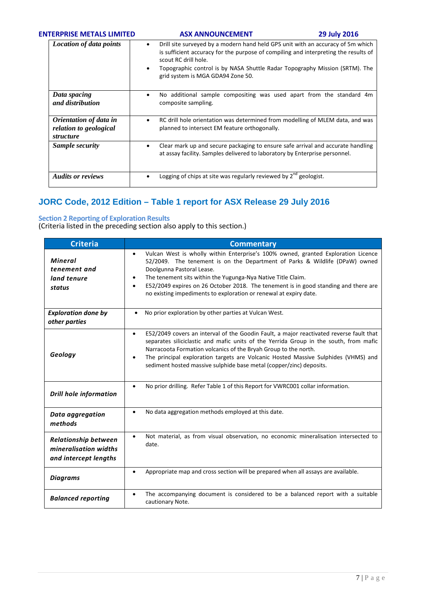### **ENTERPRISE METALS LIMITED ASX ANNOUNCEMENT 1999 1019 2016**

| <b>Location of data points</b>                                       | Drill site surveyed by a modern hand held GPS unit with an accuracy of 5m which<br>$\bullet$<br>is sufficient accuracy for the purpose of compiling and interpreting the results of<br>scout RC drill hole.<br>Topographic control is by NASA Shuttle Radar Topography Mission (SRTM). The<br>$\bullet$<br>grid system is MGA GDA94 Zone 50. |
|----------------------------------------------------------------------|----------------------------------------------------------------------------------------------------------------------------------------------------------------------------------------------------------------------------------------------------------------------------------------------------------------------------------------------|
| Data spacing<br>and distribution                                     | No additional sample compositing was used apart from the standard 4m<br>٠<br>composite sampling.                                                                                                                                                                                                                                             |
| Orientation of data in<br>relation to geological<br><i>structure</i> | RC drill hole orientation was determined from modelling of MLEM data, and was<br>$\bullet$<br>planned to intersect EM feature orthogonally.                                                                                                                                                                                                  |
| Sample security                                                      | Clear mark up and secure packaging to ensure safe arrival and accurate handling<br>٠<br>at assay facility. Samples delivered to laboratory by Enterprise personnel.                                                                                                                                                                          |
| <b>Audits or reviews</b>                                             | Logging of chips at site was regularly reviewed by 2 <sup>nd</sup> geologist.                                                                                                                                                                                                                                                                |

# **JORC Code, 2012 Edition – Table 1 report for ASX Release 29 July 2016**

## **Section 2 Reporting of Exploration Results**

(Criteria listed in the preceding section also apply to this section.)

| <b>Criteria</b>                                                               | <b>Commentary</b>                                                                                                                                                                                                                                                                                                                                                                                                              |
|-------------------------------------------------------------------------------|--------------------------------------------------------------------------------------------------------------------------------------------------------------------------------------------------------------------------------------------------------------------------------------------------------------------------------------------------------------------------------------------------------------------------------|
| <b>Mineral</b><br>tenement and<br>land tenure<br>status                       | Vulcan West is wholly within Enterprise's 100% owned, granted Exploration Licence<br>٠<br>52/2049. The tenement is on the Department of Parks & Wildlife (DPaW) owned<br>Doolgunna Pastoral Lease.<br>The tenement sits within the Yugunga-Nya Native Title Claim.<br>E52/2049 expires on 26 October 2018. The tenement is in good standing and there are<br>no existing impediments to exploration or renewal at expiry date. |
| <b>Exploration done by</b><br>other parties                                   | No prior exploration by other parties at Vulcan West.<br>$\bullet$                                                                                                                                                                                                                                                                                                                                                             |
| Geology                                                                       | E52/2049 covers an interval of the Goodin Fault, a major reactivated reverse fault that<br>$\bullet$<br>separates siliciclastic and mafic units of the Yerrida Group in the south, from mafic<br>Narracoota Formation volcanics of the Bryah Group to the north.<br>The principal exploration targets are Volcanic Hosted Massive Sulphides (VHMS) and<br>sediment hosted massive sulphide base metal (copper/zinc) deposits.  |
| <b>Drill hole information</b>                                                 | No prior drilling. Refer Table 1 of this Report for VWRC001 collar information.                                                                                                                                                                                                                                                                                                                                                |
| Data aggregation<br>methods                                                   | No data aggregation methods employed at this date.                                                                                                                                                                                                                                                                                                                                                                             |
| <b>Relationship between</b><br>mineralisation widths<br>and intercept lengths | Not material, as from visual observation, no economic mineralisation intersected to<br>date.                                                                                                                                                                                                                                                                                                                                   |
| <b>Diagrams</b>                                                               | Appropriate map and cross section will be prepared when all assays are available.                                                                                                                                                                                                                                                                                                                                              |
| <b>Balanced reporting</b>                                                     | The accompanying document is considered to be a balanced report with a suitable<br>cautionary Note.                                                                                                                                                                                                                                                                                                                            |